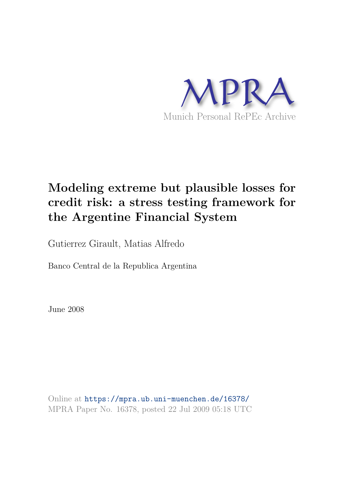

# **Modeling extreme but plausible losses for credit risk: a stress testing framework for the Argentine Financial System**

Gutierrez Girault, Matias Alfredo

Banco Central de la Republica Argentina

June 2008

Online at https://mpra.ub.uni-muenchen.de/16378/ MPRA Paper No. 16378, posted 22 Jul 2009 05:18 UTC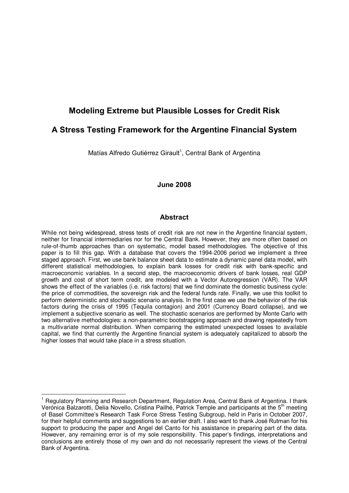# **Modeling Extreme but Plausible Losses for Credit Risk**

# **A Stress Testing Framework for the Argentine Financial System**

Matías Alfredo Gutiérrez Girault<sup>1</sup>, Central Bank of Argentina

#### **June 2008**

#### **Abstract**

While not being widespread, stress tests of credit risk are not new in the Argentine financial system, neither for financial intermediaries nor for the Central Bank. However, they are more often based on rule-of-thumb approaches than on systematic, model based methodologies. The objective of this paper is to fill this gap. With a database that covers the 1994-2006 period we implement a three staged approach. First, we use bank balance sheet data to estimate a dynamic panel data model, with different statistical methodologies, to explain bank losses for credit risk with bank-specific and macroeconomic variables. In a second step, the macroeconomic drivers of bank losses, real GDP growth and cost of short term credit, are modeled with a Vector Autoregression (VAR). The VAR shows the effect of the variables (i.e. risk factors) that we find dominate the domestic business cycle: the price of commodities, the sovereign risk and the federal funds rate. Finally, we use this toolkit to perform deterministic and stochastic scenario analysis. In the first case we use the behavior of the risk factors during the crisis of 1995 (Tequila contagion) and 2001 (Currency Board collapse), and we implement a subjective scenario as well. The stochastic scenarios are performed by Monte Carlo with two alternative methodologies: a non-parametric bootstrapping approach and drawing repeatedly from a multivariate normal distribution. When comparing the estimated unexpected losses to available capital, we find that currently the Argentine financial system is adequately capitalized to absorb the higher losses that would take place in a stress situation.

<sup>&</sup>lt;sup>1</sup> Regulatory Planning and Research Department, Regulation Area, Central Bank of Argentina. I thank Verónica Balzarotti, Delia Novello, Cristina Pailhé, Patrick Temple and participants at the 5<sup>th</sup> meeting of Basel Committeeís Research Task Force Stress Testing Subgroup, held in Paris in October 2007, for their helpful comments and suggestions to an earlier draft. I also want to thank José Rutman for his support to producing the paper and Angel del Canto for his assistance in preparing part of the data. However, any remaining error is of my sole responsibility. This paper's findings, interpretations and conclusions are entirely those of my own and do not necessarily represent the views of the Central Bank of Argentina.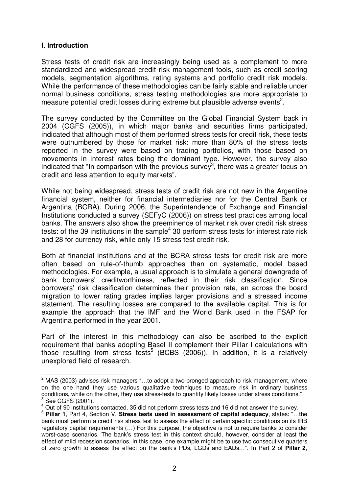### **I. Introduction**

Stress tests of credit risk are increasingly being used as a complement to more standardized and widespread credit risk management tools, such as credit scoring models, segmentation algorithms, rating systems and portfolio credit risk models. While the performance of these methodologies can be fairly stable and reliable under normal business conditions, stress testing methodologies are more appropriate to measure potential credit losses during extreme but plausible adverse events<sup>2</sup>.

The survey conducted by the Committee on the Global Financial System back in 2004 (CGFS (2005)), in which major banks and securities firms participated, indicated that although most of them performed stress tests for credit risk, these tests were outnumbered by those for market risk: more than 80% of the stress tests reported in the survey were based on trading portfolios, with those based on movements in interest rates being the dominant type. However, the survey also indicated that "In comparison with the previous survey", there was a greater focus on credit and less attention to equity markets".

While not being widespread, stress tests of credit risk are not new in the Argentine financial system, neither for financial intermediaries nor for the Central Bank or Argentina (BCRA). During 2006, the Superintendence of Exchange and Financial Institutions conducted a survey (SEFyC (2006)) on stress test practices among local banks. The answers also show the preeminence of market risk over credit risk stress tests: of the 39 institutions in the sample<sup>4</sup> 30 perform stress tests for interest rate risk and 28 for currency risk, while only 15 stress test credit risk.

Both at financial institutions and at the BCRA stress tests for credit risk are more often based on rule-of-thumb approaches than on systematic, model based methodologies. For example, a usual approach is to simulate a general downgrade of bank borrowersí creditworthiness, reflected in their risk classification. Since borrowersí risk classification determines their provision rate, an across the board migration to lower rating grades implies larger provisions and a stressed income statement. The resulting losses are compared to the available capital. This is for example the approach that the IMF and the World Bank used in the FSAP for Argentina performed in the year 2001.

Part of the interest in this methodology can also be ascribed to the explicit requirement that banks adopting Basel II complement their Pillar I calculations with those resulting from stress tests<sup>5</sup> (BCBS (2006)). In addition, it is a relatively unexplored field of research.

 $2$  MAS (2003) advises risk managers "...to adopt a two-pronged approach to risk management, where on the one hand they use various qualitative techniques to measure risk in ordinary business conditions, while on the other, they use stress-tests to quantify likely losses under stress conditions."  $3$  See CGFS (2001).

 $^{4}$  Out of 90 institutions contacted, 35 did not perform stress tests and 16 did not answer the survey.

<sup>&</sup>lt;sup>5</sup> Pillar 1, Part 4, Section V, Stress tests used in assessment of capital adequacy, states: "...the bank must perform a credit risk stress test to assess the effect of certain specific conditions on its IRB regulatory capital requirements (...) For this purpose, the objective is not to require banks to consider worst-case scenarios. The bankís stress test in this context should, however, consider at least the effect of mild recession scenarios. In this case, one example might be to use two consecutive quarters of zero growth to assess the effect on the bank's PDs, LGDs and EADs...". In Part 2 of **Pillar 2**,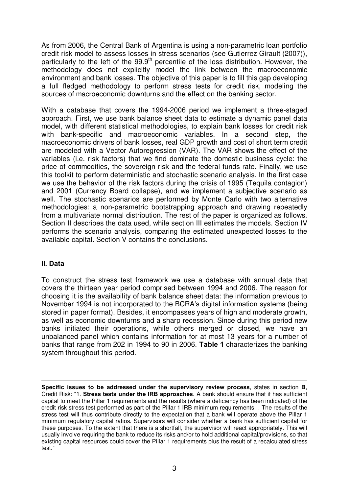As from 2006, the Central Bank of Argentina is using a non-parametric loan portfolio credit risk model to assess losses in stress scenarios (see Gutierrez Girault (2007)), particularly to the left of the  $99.9<sup>th</sup>$  percentile of the loss distribution. However, the methodology does not explicitly model the link between the macroeconomic environment and bank losses. The objective of this paper is to fill this gap developing a full fledged methodology to perform stress tests for credit risk, modeling the sources of macroeconomic downturns and the effect on the banking sector.

With a database that covers the 1994-2006 period we implement a three-staged approach. First, we use bank balance sheet data to estimate a dynamic panel data model, with different statistical methodologies, to explain bank losses for credit risk with bank-specific and macroeconomic variables. In a second step, the macroeconomic drivers of bank losses, real GDP growth and cost of short term credit are modeled with a Vector Autoregression (VAR). The VAR shows the effect of the variables (i.e. risk factors) that we find dominate the domestic business cycle: the price of commodities, the sovereign risk and the federal funds rate. Finally, we use this toolkit to perform deterministic and stochastic scenario analysis. In the first case we use the behavior of the risk factors during the crisis of 1995 (Tequila contagion) and 2001 (Currency Board collapse), and we implement a subjective scenario as well. The stochastic scenarios are performed by Monte Carlo with two alternative methodologies: a non-parametric bootstrapping approach and drawing repeatedly from a multivariate normal distribution. The rest of the paper is organized as follows. Section II describes the data used, while section III estimates the models. Section IV performs the scenario analysis, comparing the estimated unexpected losses to the available capital. Section V contains the conclusions.

# **II. Data**

 $\overline{a}$ 

To construct the stress test framework we use a database with annual data that covers the thirteen year period comprised between 1994 and 2006. The reason for choosing it is the availability of bank balance sheet data: the information previous to November 1994 is not incorporated to the BCRA's digital information systems (being stored in paper format). Besides, it encompasses years of high and moderate growth, as well as economic downturns and a sharp recession. Since during this period new banks initiated their operations, while others merged or closed, we have an unbalanced panel which contains information for at most 13 years for a number of banks that range from 202 in 1994 to 90 in 2006. **Table 1** characterizes the banking system throughout this period.

**Specific issues to be addressed under the supervisory review process**, states in section **B**, Credit Risk: "1. **Stress tests under the IRB approaches**. A bank should ensure that it has sufficient capital to meet the Pillar 1 requirements and the results (where a deficiency has been indicated) of the credit risk stress test performed as part of the Pillar 1 IRB minimum requirements... The results of the stress test will thus contribute directly to the expectation that a bank will operate above the Pillar 1 minimum regulatory capital ratios. Supervisors will consider whether a bank has sufficient capital for these purposes. To the extent that there is a shortfall, the supervisor will react appropriately. This will usually involve requiring the bank to reduce its risks and/or to hold additional capital/provisions, so that existing capital resources could cover the Pillar 1 requirements plus the result of a recalculated stress test."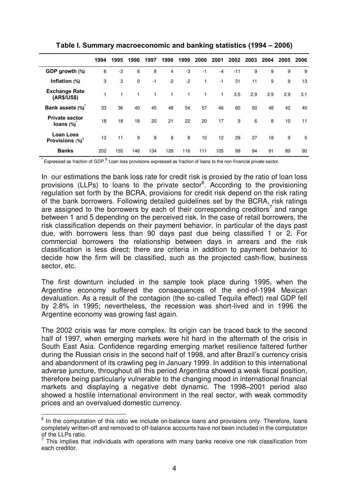|                                              | 1994 | 1995 | 1996 | 1997 | 1998 | 1999 | 2000 | 2001 | 2002  | 2003 | 2004 | 2005 | 2006 |
|----------------------------------------------|------|------|------|------|------|------|------|------|-------|------|------|------|------|
| GDP growth (%)                               | 6    | -3   | 6    | 8    | 4    | -3   | $-1$ | $-4$ | $-11$ | 9    | 9    | 9    | 9    |
| Inflation (%)                                | 3    | 3    | 0    | $-1$ | $-2$ | $-2$ | 1    | $-1$ | 31    | 11   | 9    | 9    | 13   |
| <b>Exchange Rate</b><br>(AR\$/US\$)          |      |      |      | 1    | 1    | 1    | 1    | 1    | 3.5   | 2.9  | 2.9  | 2.9  | 3.1  |
| Bank assets (%)                              | 33   | 36   | 40   | 45   | 48   | 54   | 57   | 46   | 60    | 50   | 48   | 42   | 40   |
| <b>Private sector</b><br>loans (%)           | 18   | 18   | 18   | 20   | 21   | 22   | 20   | 17   | 9     | 6    | 8    | 10   | 11   |
| <b>Loan Loss</b><br>Provisions $(\%)^{\top}$ | 13   | 11   | 9    | 8    | 8    | 8    | 10   | 12   | 29    | 27   | 18   | 9    | 5    |
| <b>Banks</b>                                 | 202  | 155  | 146  | 134  | 126  | 116  | 111  | 105  | 99    | 94   | 91   | 89   | 90   |

**Table I. Summary macroeconomic and banking statistics (1994 – 2006)** 

**\*** Expressed as fraction of GDP.**<sup>Ü</sup>** Loan loss provisions expressed as fraction of loans to the non-financial private sector.

In our estimations the bank loss rate for credit risk is proxied by the ratio of loan loss provisions (LLPs) to loans to the private sector<sup>6</sup>. According to the provisioning regulation set forth by the BCRA, provisions for credit risk depend on the risk rating of the bank borrowers. Following detailed guidelines set by the BCRA, risk ratings are assigned to the borrowers by each of their corresponding creditors<sup>7</sup> and range between 1 and 5 depending on the perceived risk. In the case of retail borrowers, the risk classification depends on their payment behavior, in particular of the days past due, with borrowers less than 90 days past due being classified 1 or 2. For commercial borrowers the relationship between days in arrears and the risk classification is less direct; there are criteria in addition to payment behavior to decide how the firm will be classified, such as the projected cash-flow, business sector, etc.

The first downturn included in the sample took place during 1995, when the Argentine economy suffered the consequences of the end-of-1994 Mexican devaluation. As a result of the contagion (the so-called Tequila effect) real GDP fell by 2.8% in 1995; nevertheless, the recession was short-lived and in 1996 the Argentine economy was growing fast again.

The 2002 crisis was far more complex. Its origin can be traced back to the second half of 1997, when emerging markets were hit hard in the aftermath of the crisis in South East Asia. Confidence regarding emerging market resilience faltered further during the Russian crisis in the second half of 1998, and after Brazil's currency crisis and abandonment of its crawling peg in January 1999. In addition to this international adverse juncture, throughout all this period Argentina showed a weak fiscal position, therefore being particularly vulnerable to the changing mood in international financial markets and displaying a negative debt dynamic. The 1998–2001 period also showed a hostile international environment in the real sector, with weak commodity prices and an overvalued domestic currency.

 $6$  In the computation of this ratio we include on-balance loans and provisions only. Therefore, loans completely written-off and removed to off-balance accounts have not been included in the computation of the LLPs ratio.

 $<sup>7</sup>$  This implies that individuals with operations with many banks receive one risk classification from</sup> each creditor.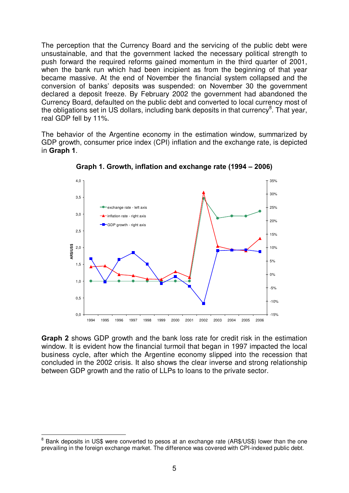The perception that the Currency Board and the servicing of the public debt were unsustainable, and that the government lacked the necessary political strength to push forward the required reforms gained momentum in the third quarter of 2001, when the bank run which had been incipient as from the beginning of that year became massive. At the end of November the financial system collapsed and the conversion of banksí deposits was suspended: on November 30 the government declared a deposit freeze. By February 2002 the government had abandoned the Currency Board, defaulted on the public debt and converted to local currency most of the obligations set in US dollars, including bank deposits in that currency<sup>8</sup>. That year, real GDP fell by 11%.

The behavior of the Argentine economy in the estimation window, summarized by GDP growth, consumer price index (CPI) inflation and the exchange rate, is depicted in **Graph 1**.



**Graph 1. Growth, inflation and exchange rate (1994 – 2006)** 

**Graph 2** shows GDP growth and the bank loss rate for credit risk in the estimation window. It is evident how the financial turmoil that began in 1997 impacted the local business cycle, after which the Argentine economy slipped into the recession that concluded in the 2002 crisis. It also shows the clear inverse and strong relationship between GDP growth and the ratio of LLPs to loans to the private sector.

<sup>&</sup>lt;sup>8</sup> Bank deposits in US\$ were converted to pesos at an exchange rate (AR\$/US\$) lower than the one prevailing in the foreign exchange market. The difference was covered with CPI-indexed public debt.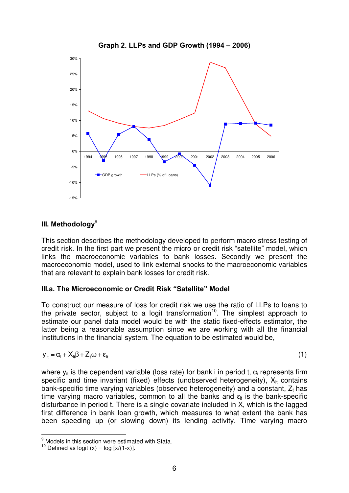

## **Graph 2. LLPs and GDP Growth (1994 – 2006)**

# **III. Methodology**<sup>9</sup>

This section describes the methodology developed to perform macro stress testing of credit risk. In the first part we present the micro or credit risk "satellite" model, which links the macroeconomic variables to bank losses. Secondly we present the macroeconomic model, used to link external shocks to the macroeconomic variables that are relevant to explain bank losses for credit risk.

### **III.a. The Microeconomic or Credit Risk ìSatelliteî Model**

To construct our measure of loss for credit risk we use the ratio of LLPs to loans to the private sector, subject to a logit transformation<sup>10</sup>. The simplest approach to estimate our panel data model would be with the static fixed-effects estimator, the latter being a reasonable assumption since we are working with all the financial institutions in the financial system. The equation to be estimated would be,

$$
y_{it} = \alpha_i + X_{it}\beta + Z_t\omega + \epsilon_{it}
$$
 (1)

where  $y_{it}$  is the dependent variable (loss rate) for bank i in period t,  $\alpha_i$  represents firm specific and time invariant (fixed) effects (unobserved heterogeneity),  $X_{it}$  contains bank-specific time varying variables (observed heterogeneity) and a constant,  $Z_t$  has time varying macro variables, common to all the banks and  $\epsilon_{it}$  is the bank-specific disturbance in period t. There is a single covariate included in X, which is the lagged first difference in bank loan growth, which measures to what extent the bank has been speeding up (or slowing down) its lending activity. Time varying macro

 $<sup>9</sup>$  Models in this section were estimated with Stata.</sup>

<sup>&</sup>lt;sup>10</sup> Defined as logit  $(x) = \log [x/(1-x)]$ .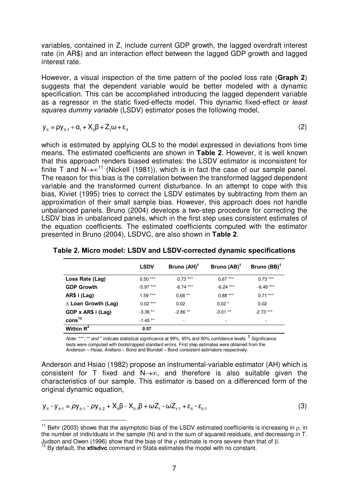variables, contained in Z, include current GDP growth, the lagged overdraft interest rate (in AR\$) and an interaction effect between the lagged GDP growth and lagged interest rate.

However, a visual inspection of the time pattern of the pooled loss rate (**Graph 2**) suggests that the dependent variable would be better modeled with a dynamic specification. This can be accomplished introducing the lagged dependent variable as a regressor in the static fixed-effects model. This dynamic fixed-effect or least squares dummy variable (LSDV) estimator poses the following model,

$$
y_{it} = \rho y_{it-1} + \alpha_i + X_{it}\beta + Z_t\omega + \epsilon_{it}
$$
 (2)

which is estimated by applying OLS to the model expressed in deviations from time means. The estimated coefficients are shown in **Table 2**. However, it is well known that this approach renders biased estimates: the LSDV estimator is inconsistent for finite T and  $N \rightarrow \infty^{11}$  (Nickell (1981)), which is in fact the case of our sample panel. The reason for this bias is the correlation between the transformed lagged dependent variable and the transformed current disturbance. In an attempt to cope with this bias, Kiviet (1995) tries to correct the LSDV estimates by subtracting from them an approximation of their small sample bias. However, this approach does not handle unbalanced panels. Bruno (2004) develops a two-step procedure for correcting the LSDV bias in unbalanced panels, which in the first step uses consistent estimates of the equation coefficients. The estimated coefficients computed with the estimator presented in Bruno (2004), LSDVC, are also shown in **Table 2**.

|                               | <b>LSDV</b> | Bruno $(AH)^T$           | Bruno $(AB)^T$ | Bruno $(BB)^T$ |
|-------------------------------|-------------|--------------------------|----------------|----------------|
| Loss Rate (Lag)               | $0.50***$   | $0.73***$                | $0.67***$      | $0.73***$      |
| <b>GDP Growth</b>             | $-5.97***$  | $-6.74***$               | $-6.24$ ***    | $-6.46$ ***    |
| AR\$ i (Lag)                  | $1.59***$   | $0.68***$                | $0.88***$      | $0.71***$      |
| $\triangle$ Loan Growth (Lag) | $0.02***$   | 0.02                     | $0.02*$        | 0.02           |
| GDP x AR\$ i (Lag)            | $-3.36**$   | $-2.86**$                | $-3.01**$      | $-2.73$ ***    |
| $\cos^{12}$                   | $-1.45**$   | $\overline{\phantom{a}}$ | ٠              |                |
| Within $R^2$                  | 0.57        |                          |                |                |

**Table 2. Micro model: LSDV and LSDV-corrected dynamic specifications** 

Note: \*\*\*, \*\* and \* indicate statistical significance at 99%, 95% and 90% confidence levels. **<sup>Ü</sup>** Significance tests were computed with bootstrapped standard errors. First step estimates were obtained from the Anderson – Hsiao, Arellano – Bond and Blundell – Bond consistent estimators respectively.

Anderson and Hsiao (1982) propose an instrumental-variable estimator (AH) which is consistent for T fixed and  $N \rightarrow \infty$ , and therefore is also suitable given the characteristics of our sample. This estimator is based on a differenced form of the original dynamic equation,

$$
y_{it} - y_{it-1} = \rho y_{it-1} - \rho y_{it-2} + X_{it} \beta - X_{it-1} \beta + \omega Z_t - \omega Z_{t-1} + \varepsilon_{it} - \varepsilon_{it-1}
$$
\n(3)

<sup>&</sup>lt;sup>11</sup> Behr (2003) shows that the asymptotic bias of the LSDV estimated coefficients is increasing in  $\rho$ , in the number of individuals in the sample (N) and in the sum of squared residuals, and decreasing in T. Judson and Owen (1996) show that the bias of the  $\rho$  estimate is more severe than that of  $\beta$ .

<sup>12</sup> By default, the **xtlsdvc** command in Stata estimates the model with no constant.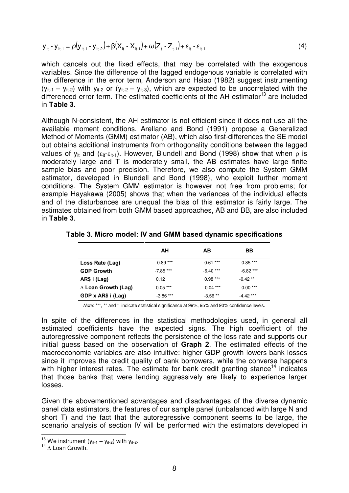$$
y_{it} - y_{it-1} = \rho (y_{it-1} - y_{it-2}) + \beta (X_{it} - X_{it-1}) + \omega (Z_t - Z_{t-1}) + \varepsilon_{it} - \varepsilon_{it-1}
$$
\n(4)

which cancels out the fixed effects, that may be correlated with the exogenous variables. Since the difference of the lagged endogenous variable is correlated with the difference in the error term, Anderson and Hsiao (1982) suggest instrumenting  $(y_{it-1} - y_{it-2})$  with  $y_{it-2}$  or  $(y_{it-2} - y_{it-3})$ , which are expected to be uncorrelated with the differenced error term. The estimated coefficients of the AH estimator<sup>13</sup> are included in **Table 3**.

Although N-consistent, the AH estimator is not efficient since it does not use all the available moment conditions. Arellano and Bond (1991) propose a Generalized Method of Moments (GMM) estimator (AB), which also first-differences the SE model but obtains additional instruments from orthogonality conditions between the lagged values of  $y_{it}$  and  $(\epsilon_{it} - \epsilon_{it-1})$ . However, Blundell and Bond (1998) show that when  $\rho$  is moderately large and T is moderately small, the AB estimates have large finite sample bias and poor precision. Therefore, we also compute the System GMM estimator, developed in Blundell and Bond (1998), who exploit further moment conditions. The System GMM estimator is however not free from problems; for example Hayakawa (2005) shows that when the variances of the individual effects and of the disturbances are unequal the bias of this estimator is fairly large. The estimates obtained from both GMM based approaches, AB and BB, are also included in **Table 3**.

|                            | AН          | AВ          | BB          |
|----------------------------|-------------|-------------|-------------|
| Loss Rate (Lag)            | $0.89***$   | $0.61***$   | $0.85***$   |
| <b>GDP Growth</b>          | $-7.85***$  | $-6.40$ *** | $-6.82***$  |
| AR\$ i (Lag)               | 0.12        | $0.98***$   | $-0.42**$   |
| $\Delta$ Loan Growth (Lag) | $0.05***$   | $0.04***$   | $0.00***$   |
| GDP x AR\$ i (Lag)         | $-3.86$ *** | $-3.56**$   | $-4.42$ *** |

**Table 3. Micro model: IV and GMM based dynamic specifications** 

Note: \*\*\*, \*\* and \* indicate statistical significance at 99%, 95% and 90% confidence levels.

In spite of the differences in the statistical methodologies used, in general all estimated coefficients have the expected signs. The high coefficient of the autoregressive component reflects the persistence of the loss rate and supports our initial guess based on the observation of **Graph 2**. The estimated effects of the macroeconomic variables are also intuitive: higher GDP growth lowers bank losses since it improves the credit quality of bank borrowers, while the converse happens with higher interest rates. The estimate for bank credit granting stance<sup>14</sup> indicates that those banks that were lending aggressively are likely to experience larger losses.

Given the abovementioned advantages and disadvantages of the diverse dynamic panel data estimators, the features of our sample panel (unbalanced with large N and short T) and the fact that the autoregressive component seems to be large, the scenario analysis of section IV will be performed with the estimators developed in 

<sup>&</sup>lt;sup>13</sup> We instrument ( $y_{it-1} - y_{it-2}$ ) with  $y_{it-2}$ .

 $14 \wedge$  Loan Growth.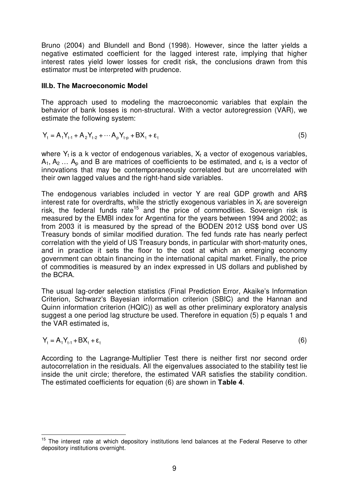Bruno (2004) and Blundell and Bond (1998). However, since the latter yields a negative estimated coefficient for the lagged interest rate, implying that higher interest rates yield lower losses for credit risk, the conclusions drawn from this estimator must be interpreted with prudence.

#### **III.b. The Macroeconomic Model**

The approach used to modeling the macroeconomic variables that explain the behavior of bank losses is non-structural. With a vector autoregression (VAR), we estimate the following system:

$$
Y_{t} = A_{1}Y_{t-1} + A_{2}Y_{t-2} + \cdots + A_{p}Y_{t-p} + BX_{t} + \epsilon_{t}
$$
\n(5)

where  $Y_t$  is a k vector of endogenous variables,  $X_t$  a vector of exogenous variables,  $A_1, A_2, \ldots, A_p$  and B are matrices of coefficients to be estimated, and  $\varepsilon_t$  is a vector of innovations that may be contemporaneously correlated but are uncorrelated with their own lagged values and the right-hand side variables.

The endogenous variables included in vector Y are real GDP growth and AR\$ interest rate for overdrafts, while the strictly exogenous variables in  $X_t$  are sovereign risk, the federal funds rate<sup>15</sup> and the price of commodities. Sovereign risk is measured by the EMBI index for Argentina for the years between 1994 and 2002; as from 2003 it is measured by the spread of the BODEN 2012 US\$ bond over US Treasury bonds of similar modified duration. The fed funds rate has nearly perfect correlation with the yield of US Treasury bonds, in particular with short-maturity ones, and in practice it sets the floor to the cost at which an emerging economy government can obtain financing in the international capital market. Finally, the price of commodities is measured by an index expressed in US dollars and published by the BCRA.

The usual lag-order selection statistics (Final Prediction Error, Akaike's Information Criterion, Schwarz's Bayesian information criterion (SBIC) and the Hannan and Quinn information criterion (HQIC)) as well as other preliminary exploratory analysis suggest a one period lag structure be used. Therefore in equation (5) p equals 1 and the VAR estimated is,

$$
Y_t = A_1 Y_{t-1} + B X_t + \varepsilon_t \tag{6}
$$

According to the Lagrange-Multiplier Test there is neither first nor second order autocorrelation in the residuals. All the eigenvalues associated to the stability test lie inside the unit circle; therefore, the estimated VAR satisfies the stability condition. The estimated coefficients for equation (6) are shown in **Table 4**.

<sup>&</sup>lt;sup>15</sup> The interest rate at which depository institutions lend balances at the Federal Reserve to other depository institutions overnight.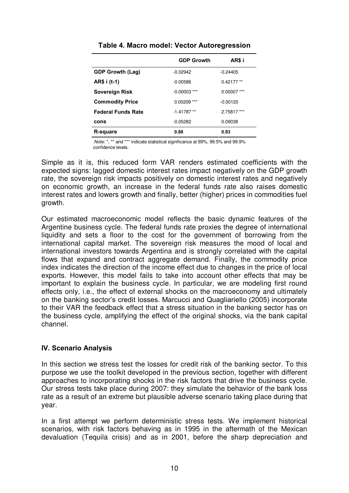|                           | <b>GDP Growth</b> | AR\$ i        |
|---------------------------|-------------------|---------------|
| <b>GDP Growth (Lag)</b>   | $-0.02942$        | $-0.24405$    |
| AR\$ i (t-1)              | $-0.00586$        | $0.42177**$   |
| Sovereign Risk            | $-0.00003$ ***    | $0.00007$ *** |
| <b>Commodity Price</b>    | $0.00209$ ***     | $-0.00120$    |
| <b>Federal Funds Rate</b> | $-1.41787**$      | 2.75817 ***   |
| cons                      | $-0.05282$        | 0.09038       |
| R-square                  | 0.88              | 0.93          |

**Table 4. Macro model: Vector Autoregression** 

 Note: \*, \*\* and \*\*\* indicate statistical significance at 99%, 99.5% and 99.9% confidence levels.

Simple as it is, this reduced form VAR renders estimated coefficients with the expected signs: lagged domestic interest rates impact negatively on the GDP growth rate, the sovereign risk impacts positively on domestic interest rates and negatively on economic growth, an increase in the federal funds rate also raises domestic interest rates and lowers growth and finally, better (higher) prices in commodities fuel growth.

Our estimated macroeconomic model reflects the basic dynamic features of the Argentine business cycle. The federal funds rate proxies the degree of international liquidity and sets a floor to the cost for the government of borrowing from the international capital market. The sovereign risk measures the mood of local and international investors towards Argentina and is strongly correlated with the capital flows that expand and contract aggregate demand. Finally, the commodity price index indicates the direction of the income effect due to changes in the price of local exports. However, this model fails to take into account other effects that may be important to explain the business cycle. In particular, we are modeling first round effects only, i.e., the effect of external shocks on the macroeconomy and ultimately on the banking sector's credit losses. Marcucci and Quagliariello (2005) incorporate to their VAR the feedback effect that a stress situation in the banking sector has on the business cycle, amplifying the effect of the original shocks, via the bank capital channel.

# **IV. Scenario Analysis**

In this section we stress test the losses for credit risk of the banking sector. To this purpose we use the toolkit developed in the previous section, together with different approaches to incorporating shocks in the risk factors that drive the business cycle. Our stress tests take place during 2007: they simulate the behavior of the bank loss rate as a result of an extreme but plausible adverse scenario taking place during that year.

In a first attempt we perform deterministic stress tests. We implement historical scenarios, with risk factors behaving as in 1995 in the aftermath of the Mexican devaluation (Tequila crisis) and as in 2001, before the sharp depreciation and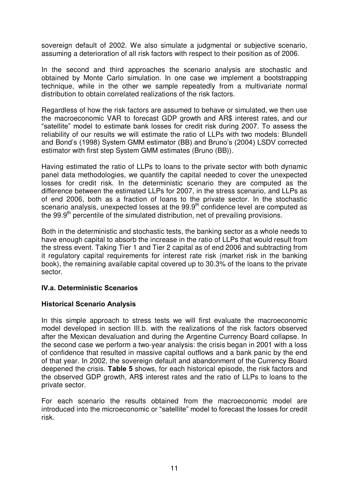sovereign default of 2002. We also simulate a judgmental or subjective scenario, assuming a deterioration of all risk factors with respect to their position as of 2006.

In the second and third approaches the scenario analysis are stochastic and obtained by Monte Carlo simulation. In one case we implement a bootstrapping technique, while in the other we sample repeatedly from a multivariate normal distribution to obtain correlated realizations of the risk factors.

Regardless of how the risk factors are assumed to behave or simulated, we then use the macroeconomic VAR to forecast GDP growth and AR\$ interest rates, and our "satellite" model to estimate bank losses for credit risk during 2007. To assess the reliability of our results we will estimate the ratio of LLPs with two models: Blundell and Bond's (1998) System GMM estimator (BB) and Bruno's (2004) LSDV corrected estimator with first step System GMM estimates (Bruno (BB)).

Having estimated the ratio of LLPs to loans to the private sector with both dynamic panel data methodologies, we quantify the capital needed to cover the unexpected losses for credit risk. In the deterministic scenario they are computed as the difference between the estimated LLPs for 2007, in the stress scenario, and LLPs as of end 2006, both as a fraction of loans to the private sector. In the stochastic scenario analysis, unexpected losses at the 99.9<sup>th</sup> confidence level are computed as the 99.9<sup>th</sup> percentile of the simulated distribution, net of prevailing provisions.

Both in the deterministic and stochastic tests, the banking sector as a whole needs to have enough capital to absorb the increase in the ratio of LLPs that would result from the stress event. Taking Tier 1 and Tier 2 capital as of end 2006 and subtracting from it regulatory capital requirements for interest rate risk (market risk in the banking book), the remaining available capital covered up to 30.3% of the loans to the private sector.

# **IV.a. Deterministic Scenarios**

### **Historical Scenario Analysis**

In this simple approach to stress tests we will first evaluate the macroeconomic model developed in section III.b. with the realizations of the risk factors observed after the Mexican devaluation and during the Argentine Currency Board collapse. In the second case we perform a two-year analysis: the crisis began in 2001 with a loss of confidence that resulted in massive capital outflows and a bank panic by the end of that year. In 2002, the sovereign default and abandonment of the Currency Board deepened the crisis. **Table 5** shows, for each historical episode, the risk factors and the observed GDP growth, AR\$ interest rates and the ratio of LLPs to loans to the private sector.

For each scenario the results obtained from the macroeconomic model are introduced into the microeconomic or "satellite" model to forecast the losses for credit risk.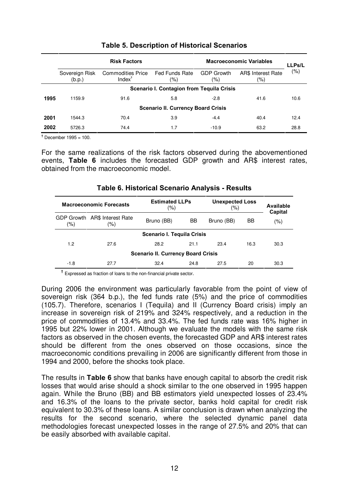|                                           | <b>Risk Factors</b>      |                                                |                                           | <b>Macroeconomic Variables</b> | <b>LLPs/L</b>                 |      |  |  |  |
|-------------------------------------------|--------------------------|------------------------------------------------|-------------------------------------------|--------------------------------|-------------------------------|------|--|--|--|
|                                           | Sovereign Risk<br>(b.p.) | <b>Commodities Price</b><br>Index $^{\dagger}$ | Fed Funds Rate<br>$(\% )$                 | <b>GDP Growth</b><br>(%)       | AR\$ Interest Rate<br>$(\% )$ | (%)  |  |  |  |
| Scenario I. Contagion from Tequila Crisis |                          |                                                |                                           |                                |                               |      |  |  |  |
| 1995                                      | 1159.9                   | 91.6                                           | 5.8                                       | $-2.8$                         | 41.6                          | 10.6 |  |  |  |
|                                           |                          |                                                | <b>Scenario II. Currency Board Crisis</b> |                                |                               |      |  |  |  |
| 2001                                      | 1544.3                   | 70.4                                           | 3.9                                       | $-4.4$                         | 40.4                          | 12.4 |  |  |  |
| 2002                                      | 5726.3                   | 74.4                                           | 1.7                                       | $-10.9$                        | 63.2                          | 28.8 |  |  |  |

# **Table 5. Description of Historical Scenarios**

**Ü** December 1995 = 100.

For the same realizations of the risk factors observed during the abovementioned events, **Table 6** includes the forecasted GDP growth and AR\$ interest rates, obtained from the macroeconomic model.

## **Table 6. Historical Scenario Analysis - Results**

| <b>Macroeconomic Forecasts</b> |                                      | <b>Estimated LLPs</b><br>(%)              |                  | <b>Unexpected Loss</b><br>(%) | Available<br>Capital |         |  |  |
|--------------------------------|--------------------------------------|-------------------------------------------|------------------|-------------------------------|----------------------|---------|--|--|
| $(\%)$                         | GDP Growth AR\$ Interest Rate<br>(%) |                                           | BB<br>Bruno (BB) |                               | BB                   | $(\% )$ |  |  |
| Scenario I. Tequila Crisis     |                                      |                                           |                  |                               |                      |         |  |  |
| 1.2                            | 27.6                                 | 28.2                                      | 21.1             | 23.4                          | 16.3                 | 30.3    |  |  |
|                                |                                      | <b>Scenario II. Currency Board Crisis</b> |                  |                               |                      |         |  |  |
| $-1.8$                         | 27.7                                 | 32.4                                      | 24.8             | 27.5                          | 20                   | 30.3    |  |  |

<sup>t</sup> Expressed as fraction of loans to the non-financial private sector.

During 2006 the environment was particularly favorable from the point of view of sovereign risk (364 b.p.), the fed funds rate (5%) and the price of commodities (105.7). Therefore, scenarios I (Tequila) and II (Currency Board crisis) imply an increase in sovereign risk of 219% and 324% respectively, and a reduction in the price of commodities of 13.4% and 33.4%. The fed funds rate was 16% higher in 1995 but 22% lower in 2001. Although we evaluate the models with the same risk factors as observed in the chosen events, the forecasted GDP and AR\$ interest rates should be different from the ones observed on those occasions, since the macroeconomic conditions prevailing in 2006 are significantly different from those in 1994 and 2000, before the shocks took place.

The results in **Table 6** show that banks have enough capital to absorb the credit risk losses that would arise should a shock similar to the one observed in 1995 happen again. While the Bruno (BB) and BB estimators yield unexpected losses of 23.4% and 16.3% of the loans to the private sector, banks hold capital for credit risk equivalent to 30.3% of these loans. A similar conclusion is drawn when analyzing the results for the second scenario, where the selected dynamic panel data methodologies forecast unexpected losses in the range of 27.5% and 20% that can be easily absorbed with available capital.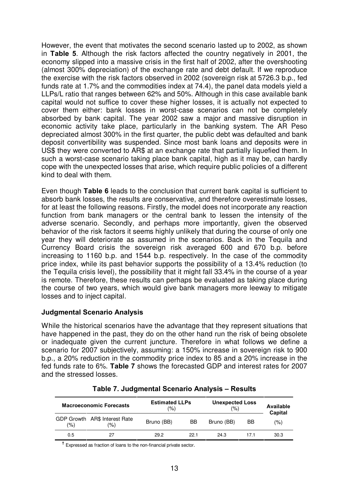However, the event that motivates the second scenario lasted up to 2002, as shown in **Table 5**. Although the risk factors affected the country negatively in 2001, the economy slipped into a massive crisis in the first half of 2002, after the overshooting (almost 300% depreciation) of the exchange rate and debt default. If we reproduce the exercise with the risk factors observed in 2002 (sovereign risk at 5726.3 b.p., fed funds rate at 1.7% and the commodities index at 74.4), the panel data models yield a LLPs/L ratio that ranges between 62% and 50%. Although in this case available bank capital would not suffice to cover these higher losses, it is actually not expected to cover them either: bank losses in worst-case scenarios can not be completely absorbed by bank capital. The year 2002 saw a major and massive disruption in economic activity take place, particularly in the banking system. The AR Peso depreciated almost 300% in the first quarter, the public debt was defaulted and bank deposit convertibility was suspended. Since most bank loans and deposits were in US\$ they were converted to AR\$ at an exchange rate that partially liquefied them. In such a worst-case scenario taking place bank capital, high as it may be, can hardly cope with the unexpected losses that arise, which require public policies of a different kind to deal with them.

Even though **Table 6** leads to the conclusion that current bank capital is sufficient to absorb bank losses, the results are conservative, and therefore overestimate losses, for at least the following reasons. Firstly, the model does not incorporate any reaction function from bank managers or the central bank to lessen the intensity of the adverse scenario. Secondly, and perhaps more importantly, given the observed behavior of the risk factors it seems highly unlikely that during the course of only one year they will deteriorate as assumed in the scenarios. Back in the Tequila and Currency Board crisis the sovereign risk averaged 600 and 670 b.p. before increasing to 1160 b.p. and 1544 b.p. respectively. In the case of the commodity price index, while its past behavior supports the possibility of a 13.4% reduction (to the Tequila crisis level), the possibility that it might fall 33.4% in the course of a year is remote. Therefore, these results can perhaps be evaluated as taking place during the course of two years, which would give bank managers more leeway to mitigate losses and to inject capital.

### **Judgmental Scenario Analysis**

While the historical scenarios have the advantage that they represent situations that have happened in the past, they do on the other hand run the risk of being obsolete or inadequate given the current juncture. Therefore in what follows we define a scenario for 2007 subjectively, assuming: a 150% increase in sovereign risk to 900 b.p., a 20% reduction in the commodity price index to 85 and a 20% increase in the fed funds rate to 6%. **Table 7** shows the forecasted GDP and interest rates for 2007 and the stressed losses.

| <b>Macroeconomic Forecasts</b> |                                      | <b>Estimated LLPs</b><br>(%) |      | <b>Unexpected Loss</b><br>(% | Available<br>Capital |      |
|--------------------------------|--------------------------------------|------------------------------|------|------------------------------|----------------------|------|
| (9)                            | GDP Growth AR\$ Interest Rate<br>(%) | Bruno (BB)                   | BB   | Bruno (BB)                   | BB                   | '%)  |
| 0.5                            |                                      | 29.2                         | 22.1 | 24.3                         | 17.1                 | 30.3 |

| Table 7. Judgmental Scenario Analysis - Results |  |
|-------------------------------------------------|--|
|-------------------------------------------------|--|

**Ü** Expressed as fraction of loans to the non-financial private sector.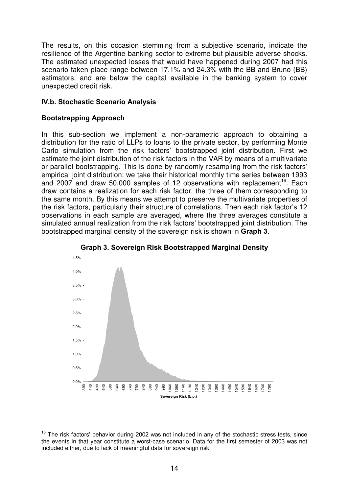The results, on this occasion stemming from a subjective scenario, indicate the resilience of the Argentine banking sector to extreme but plausible adverse shocks. The estimated unexpected losses that would have happened during 2007 had this scenario taken place range between 17.1% and 24.3% with the BB and Bruno (BB) estimators, and are below the capital available in the banking system to cover unexpected credit risk.

## **IV.b. Stochastic Scenario Analysis**

## **Bootstrapping Approach**

In this sub-section we implement a non-parametric approach to obtaining a distribution for the ratio of LLPs to loans to the private sector, by performing Monte Carlo simulation from the risk factors' bootstrapped joint distribution. First we estimate the joint distribution of the risk factors in the VAR by means of a multivariate or parallel bootstrapping. This is done by randomly resampling from the risk factors' empirical joint distribution: we take their historical monthly time series between 1993 and 2007 and draw 50,000 samples of 12 observations with replacement<sup>16</sup>. Each draw contains a realization for each risk factor, the three of them corresponding to the same month. By this means we attempt to preserve the multivariate properties of the risk factors, particularly their structure of correlations. Then each risk factor's 12 observations in each sample are averaged, where the three averages constitute a simulated annual realization from the risk factors' bootstrapped joint distribution. The bootstrapped marginal density of the sovereign risk is shown in **Graph 3**.





<sup>&</sup>lt;sup>16</sup> The risk factors' behavior during 2002 was not included in any of the stochastic stress tests, since the events in that year constitute a worst-case scenario. Data for the first semester of 2003 was not included either, due to lack of meaningful data for sovereign risk.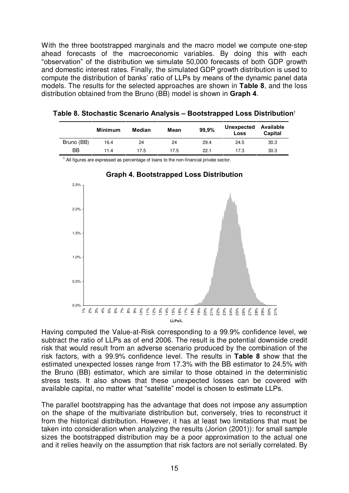With the three bootstrapped marginals and the macro model we compute one-step ahead forecasts of the macroeconomic variables. By doing this with each ìobservationî of the distribution we simulate 50,000 forecasts of both GDP growth and domestic interest rates. Finally, the simulated GDP growth distribution is used to compute the distribution of banks' ratio of LLPs by means of the dynamic panel data models. The results for the selected approaches are shown in **Table 8**, and the loss distribution obtained from the Bruno (BB) model is shown in **Graph 4**.

|            | <b>Minimum</b> | Median | Mean | 99,9% | Unexpected<br>Loss | Available<br>Capital |
|------------|----------------|--------|------|-------|--------------------|----------------------|
| Bruno (BB) | 16.4           | 24     | 24   | 29.4  | 24.5               | 30.3                 |
| ΒB         | 11.4           | 17.5   | 17.5 | 22.1  | 17.3               | 30.3                 |

| Table 8. Stochastic Scenario Analysis – Bootstrapped Loss Distribution $^\dagger$ |  |  |
|-----------------------------------------------------------------------------------|--|--|
|                                                                                   |  |  |

 $^{\dagger}$  All figures are expressed as percentage of loans to the non-financial private sector.





Having computed the Value-at-Risk corresponding to a 99.9% confidence level, we subtract the ratio of LLPs as of end 2006. The result is the potential downside credit risk that would result from an adverse scenario produced by the combination of the risk factors, with a 99.9% confidence level. The results in **Table 8** show that the estimated unexpected losses range from 17.3% with the BB estimator to 24.5% with the Bruno (BB) estimator, which are similar to those obtained in the deterministic stress tests. It also shows that these unexpected losses can be covered with available capital, no matter what "satellite" model is chosen to estimate LLPs.

The parallel bootstrapping has the advantage that does not impose any assumption on the shape of the multivariate distribution but, conversely, tries to reconstruct it from the historical distribution. However, it has at least two limitations that must be taken into consideration when analyzing the results (Jorion (2001)): for small sample sizes the bootstrapped distribution may be a poor approximation to the actual one and it relies heavily on the assumption that risk factors are not serially correlated. By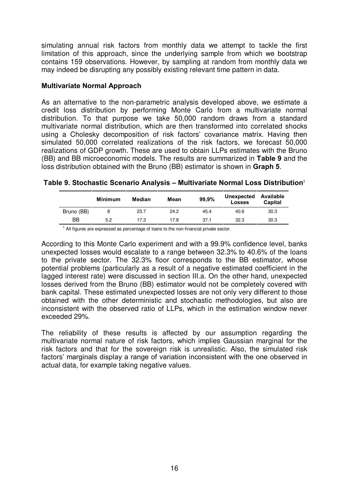simulating annual risk factors from monthly data we attempt to tackle the first limitation of this approach, since the underlying sample from which we bootstrap contains 159 observations. However, by sampling at random from monthly data we may indeed be disrupting any possibly existing relevant time pattern in data.

### **Multivariate Normal Approach**

As an alternative to the non-parametric analysis developed above, we estimate a credit loss distribution by performing Monte Carlo from a multivariate normal distribution. To that purpose we take 50,000 random draws from a standard multivariate normal distribution, which are then transformed into correlated shocks using a Cholesky decomposition of risk factors' covariance matrix. Having then simulated 50,000 correlated realizations of the risk factors, we forecast 50,000 realizations of GDP growth. These are used to obtain LLPs estimates with the Bruno (BB) and BB microeconomic models. The results are summarized in **Table 9** and the loss distribution obtained with the Bruno (BB) estimator is shown in **Graph 5**.

**Table 9. Stochastic Scenario Analysis - Multivariate Normal Loss Distribution<sup>t</sup>** 

|            | Minimum | Median | Mean | 99,9% | Unexpected Available<br><b>Losses</b> | <b>Capital</b> |
|------------|---------|--------|------|-------|---------------------------------------|----------------|
| Bruno (BB) | 8       | 23.7   | 24.2 | 45.4  | 40.6                                  | 30.3           |
| BB         | 5.2     | 17.3   | 17.8 | 37.1  | 32.3                                  | 30.3           |

 $^{\dagger}$  All figures are expressed as percentage of loans to the non-financial private sector.

According to this Monte Carlo experiment and with a 99.9% confidence level, banks unexpected losses would escalate to a range between 32.3% to 40.6% of the loans to the private sector. The 32.3% floor corresponds to the BB estimator, whose potential problems (particularly as a result of a negative estimated coefficient in the lagged interest rate) were discussed in section III.a. On the other hand, unexpected losses derived from the Bruno (BB) estimator would not be completely covered with bank capital. These estimated unexpected losses are not only very different to those obtained with the other deterministic and stochastic methodologies, but also are inconsistent with the observed ratio of LLPs, which in the estimation window never exceeded 29%.

The reliability of these results is affected by our assumption regarding the multivariate normal nature of risk factors, which implies Gaussian marginal for the risk factors and that for the sovereign risk is unrealistic. Also, the simulated risk factors' marginals display a range of variation inconsistent with the one observed in actual data, for example taking negative values.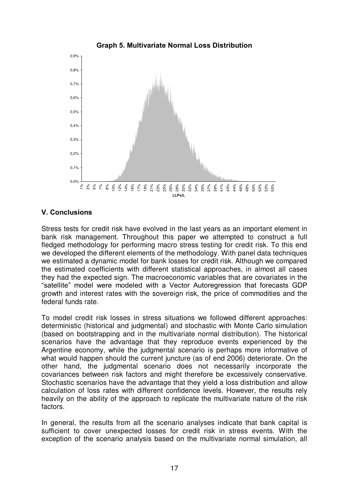

# **V. Conclusions**

Stress tests for credit risk have evolved in the last years as an important element in bank risk management. Throughout this paper we attempted to construct a full fledged methodology for performing macro stress testing for credit risk. To this end we developed the different elements of the methodology. With panel data techniques we estimated a dynamic model for bank losses for credit risk. Although we compared the estimated coefficients with different statistical approaches, in almost all cases they had the expected sign. The macroeconomic variables that are covariates in the "satellite" model were modeled with a Vector Autoregression that forecasts GDP growth and interest rates with the sovereign risk, the price of commodities and the federal funds rate.

To model credit risk losses in stress situations we followed different approaches: deterministic (historical and judgmental) and stochastic with Monte Carlo simulation (based on bootstrapping and in the multivariate normal distribution). The historical scenarios have the advantage that they reproduce events experienced by the Argentine economy, while the judgmental scenario is perhaps more informative of what would happen should the current juncture (as of end 2006) deteriorate. On the other hand, the judgmental scenario does not necessarily incorporate the covariances between risk factors and might therefore be excessively conservative. Stochastic scenarios have the advantage that they yield a loss distribution and allow calculation of loss rates with different confidence levels. However, the results rely heavily on the ability of the approach to replicate the multivariate nature of the risk factors.

In general, the results from all the scenario analyses indicate that bank capital is sufficient to cover unexpected losses for credit risk in stress events. With the exception of the scenario analysis based on the multivariate normal simulation, all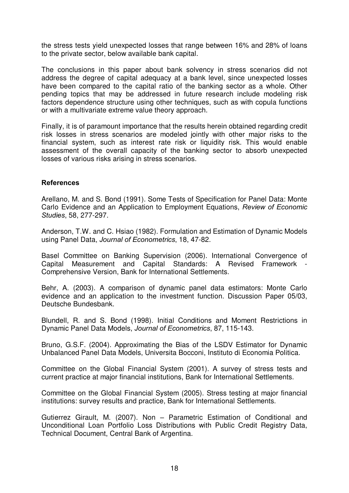the stress tests yield unexpected losses that range between 16% and 28% of loans to the private sector, below available bank capital.

The conclusions in this paper about bank solvency in stress scenarios did not address the degree of capital adequacy at a bank level, since unexpected losses have been compared to the capital ratio of the banking sector as a whole. Other pending topics that may be addressed in future research include modeling risk factors dependence structure using other techniques, such as with copula functions or with a multivariate extreme value theory approach.

Finally, it is of paramount importance that the results herein obtained regarding credit risk losses in stress scenarios are modeled jointly with other major risks to the financial system, such as interest rate risk or liquidity risk. This would enable assessment of the overall capacity of the banking sector to absorb unexpected losses of various risks arising in stress scenarios.

### **References**

Arellano, M. and S. Bond (1991). Some Tests of Specification for Panel Data: Monte Carlo Evidence and an Application to Employment Equations, Review of Economic Studies, 58, 277-297.

Anderson, T.W. and C. Hsiao (1982). Formulation and Estimation of Dynamic Models using Panel Data, Journal of Econometrics, 18, 47-82.

Basel Committee on Banking Supervision (2006). International Convergence of Capital Measurement and Capital Standards: A Revised Framework - Comprehensive Version, Bank for International Settlements.

Behr, A. (2003). A comparison of dynamic panel data estimators: Monte Carlo evidence and an application to the investment function. Discussion Paper 05/03, Deutsche Bundesbank.

Blundell, R. and S. Bond (1998). Initial Conditions and Moment Restrictions in Dynamic Panel Data Models, Journal of Econometrics, 87, 115-143.

Bruno, G.S.F. (2004). Approximating the Bias of the LSDV Estimator for Dynamic Unbalanced Panel Data Models, Universita Bocconi, Instituto di Economia Politica.

Committee on the Global Financial System (2001). A survey of stress tests and current practice at major financial institutions, Bank for International Settlements.

Committee on the Global Financial System (2005). Stress testing at major financial institutions: survey results and practice, Bank for International Settlements.

Gutierrez Girault, M. (2007). Non – Parametric Estimation of Conditional and Unconditional Loan Portfolio Loss Distributions with Public Credit Registry Data, Technical Document, Central Bank of Argentina.